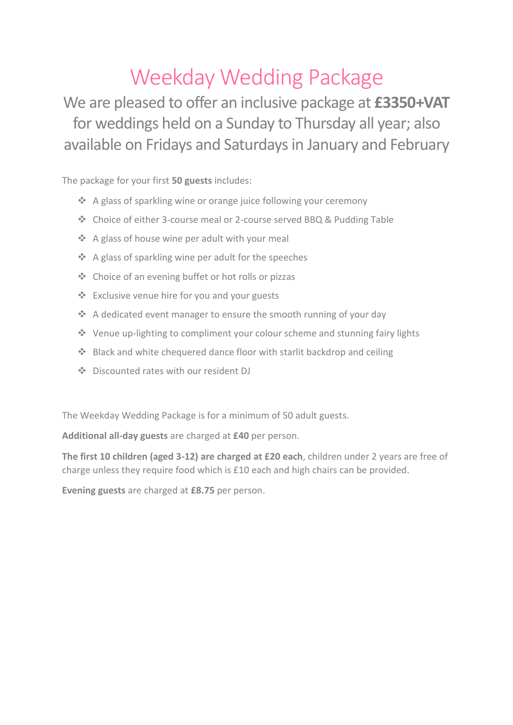# Weekday Wedding Package

We are pleased to offer an inclusive package at **£3350+VAT** for weddings held on a Sunday to Thursday all year; also available on Fridays and Saturdays in January and February

The package for your first **50 guests** includes:

- ❖ A glass of sparkling wine or orange juice following your ceremony
- ❖ Choice of either 3-course meal or 2-course served BBQ & Pudding Table
- ❖ A glass of house wine per adult with your meal
- ❖ A glass of sparkling wine per adult for the speeches
- ❖ Choice of an evening buffet or hot rolls or pizzas
- ❖ Exclusive venue hire for you and your guests
- ❖ A dedicated event manager to ensure the smooth running of your day
- ❖ Venue up-lighting to compliment your colour scheme and stunning fairy lights
- ❖ Black and white chequered dance floor with starlit backdrop and ceiling
- ❖ Discounted rates with our resident DJ

The Weekday Wedding Package is for a minimum of 50 adult guests.

**Additional all-day guests** are charged at **£40** per person.

**The first 10 children (aged 3-12) are charged at £20 each**, children under 2 years are free of charge unless they require food which is £10 each and high chairs can be provided.

**Evening guests** are charged at **£8.75** per person.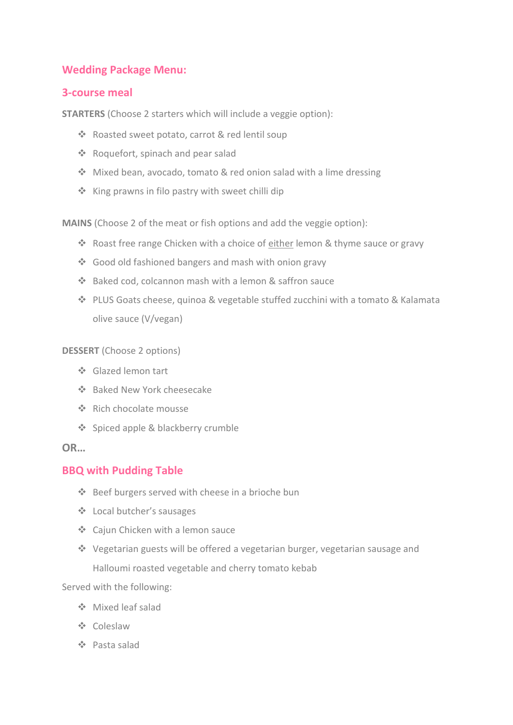# **Wedding Package Menu:**

## **3-course meal**

**STARTERS** (Choose 2 starters which will include a veggie option):

- ❖ Roasted sweet potato, carrot & red lentil soup
- ❖ Roquefort, spinach and pear salad
- ❖ Mixed bean, avocado, tomato & red onion salad with a lime dressing
- ❖ King prawns in filo pastry with sweet chilli dip

**MAINS** (Choose 2 of the meat or fish options and add the veggie option):

- ❖ Roast free range Chicken with a choice of either lemon & thyme sauce or gravy
- ❖ Good old fashioned bangers and mash with onion gravy
- ❖ Baked cod, colcannon mash with a lemon & saffron sauce
- ❖ PLUS Goats cheese, quinoa & vegetable stuffed zucchini with a tomato & Kalamata olive sauce (V/vegan)

#### **DESSERT** (Choose 2 options)

- ❖ Glazed lemon tart
- ❖ Baked New York cheesecake
- ❖ Rich chocolate mousse
- ❖ Spiced apple & blackberry crumble

## **OR…**

## **BBQ with Pudding Table**

- ❖ Beef burgers served with cheese in a brioche bun
- ❖ Local butcher's sausages
- ❖ Cajun Chicken with a lemon sauce
- ❖ Vegetarian guests will be offered a vegetarian burger, vegetarian sausage and Halloumi roasted vegetable and cherry tomato kebab

Served with the following:

- ❖ Mixed leaf salad
- ❖ Coleslaw
- ❖ Pasta salad